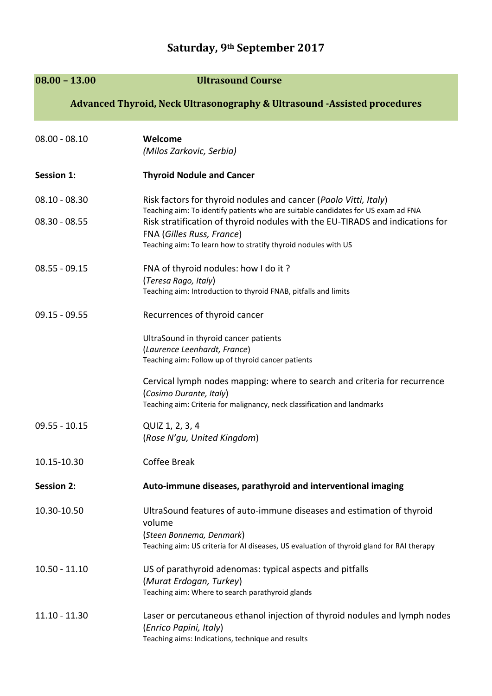## **Saturday, 9th September 2017**

| $08.00 - 13.00$                                                          | <b>Ultrasound Course</b>                                                                                                                                                            |  |
|--------------------------------------------------------------------------|-------------------------------------------------------------------------------------------------------------------------------------------------------------------------------------|--|
| Advanced Thyroid, Neck Ultrasonography & Ultrasound -Assisted procedures |                                                                                                                                                                                     |  |
| $08.00 - 08.10$                                                          | Welcome<br>(Milos Zarkovic, Serbia)                                                                                                                                                 |  |
| <b>Session 1:</b>                                                        | <b>Thyroid Nodule and Cancer</b>                                                                                                                                                    |  |
| $08.10 - 08.30$                                                          | Risk factors for thyroid nodules and cancer (Paolo Vitti, Italy)<br>Teaching aim: To identify patients who are suitable candidates for US exam ad FNA                               |  |
| $08.30 - 08.55$                                                          | Risk stratification of thyroid nodules with the EU-TIRADS and indications for<br><b>FNA (Gilles Russ, France)</b><br>Teaching aim: To learn how to stratify thyroid nodules with US |  |
| $08.55 - 09.15$                                                          | FNA of thyroid nodules: how I do it?<br>(Teresa Rago, Italy)<br>Teaching aim: Introduction to thyroid FNAB, pitfalls and limits                                                     |  |
| $09.15 - 09.55$                                                          | Recurrences of thyroid cancer                                                                                                                                                       |  |
|                                                                          | UltraSound in thyroid cancer patients<br>(Laurence Leenhardt, France)<br>Teaching aim: Follow up of thyroid cancer patients                                                         |  |
|                                                                          | Cervical lymph nodes mapping: where to search and criteria for recurrence<br>(Cosimo Durante, Italy)<br>Teaching aim: Criteria for malignancy, neck classification and landmarks    |  |
| $09.55 - 10.15$                                                          | QUIZ 1, 2, 3, 4<br>(Rose N'gu, United Kingdom)                                                                                                                                      |  |
| 10.15-10.30                                                              | Coffee Break                                                                                                                                                                        |  |
| <b>Session 2:</b>                                                        | Auto-immune diseases, parathyroid and interventional imaging                                                                                                                        |  |
| 10.30-10.50                                                              | UltraSound features of auto-immune diseases and estimation of thyroid<br>volume<br>(Steen Bonnema, Denmark)                                                                         |  |
|                                                                          | Teaching aim: US criteria for AI diseases, US evaluation of thyroid gland for RAI therapy                                                                                           |  |
| $10.50 - 11.10$                                                          | US of parathyroid adenomas: typical aspects and pitfalls<br>(Murat Erdogan, Turkey)<br>Teaching aim: Where to search parathyroid glands                                             |  |
| $11.10 - 11.30$                                                          | Laser or percutaneous ethanol injection of thyroid nodules and lymph nodes<br>(Enrico Papini, Italy)<br>Teaching aims: Indications, technique and results                           |  |